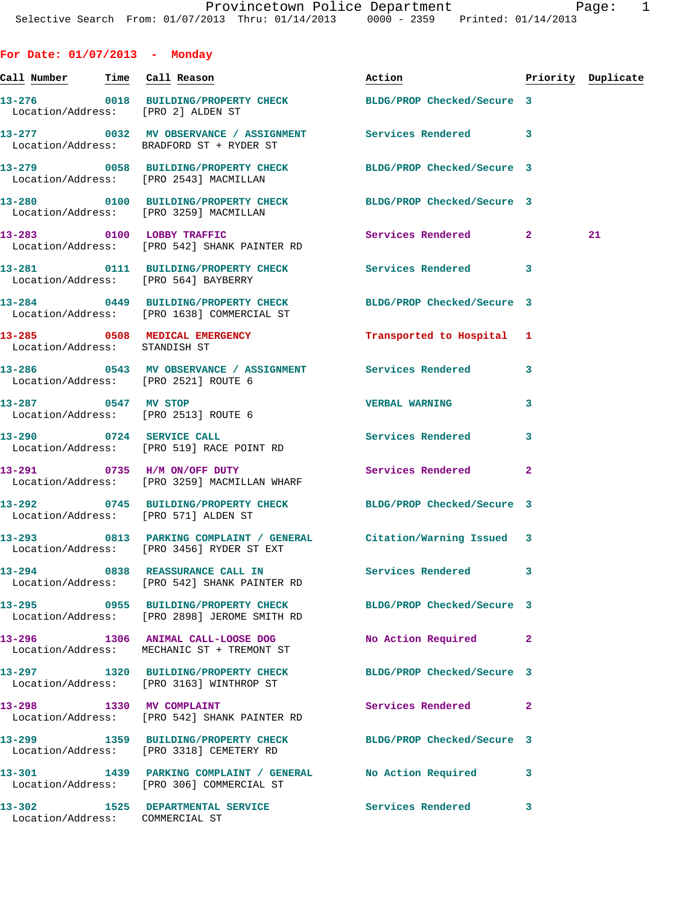| For Date: $01/07/2013$ - Monday           |                                                                                                                |                            |                |                    |
|-------------------------------------------|----------------------------------------------------------------------------------------------------------------|----------------------------|----------------|--------------------|
| <u>Call Number — Time Call Reason</u>     |                                                                                                                | Action                     |                | Priority Duplicate |
|                                           | 13-276 0018 BUILDING/PROPERTY CHECK BLDG/PROP Checked/Secure 3<br>Location/Address: [PRO 2] ALDEN ST           |                            |                |                    |
|                                           | 13-277 0032 MV OBSERVANCE / ASSIGNMENT Services Rendered<br>Location/Address: BRADFORD ST + RYDER ST           |                            | 3              |                    |
|                                           | 13-279 0058 BUILDING/PROPERTY CHECK BLDG/PROP Checked/Secure 3<br>Location/Address: [PRO 2543] MACMILLAN       |                            |                |                    |
|                                           | 13-280 0100 BUILDING/PROPERTY CHECK BLDG/PROP Checked/Secure 3<br>Location/Address: [PRO 3259] MACMILLAN       |                            |                |                    |
| 13-283 0100 LOBBY TRAFFIC                 | Location/Address: [PRO 542] SHANK PAINTER RD                                                                   | Services Rendered 2        |                | 21                 |
|                                           | 13-281 0111 BUILDING/PROPERTY CHECK Services Rendered<br>Location/Address: [PRO 564] BAYBERRY                  |                            | 3              |                    |
|                                           | 13-284 0449 BUILDING/PROPERTY CHECK<br>Location/Address: [PRO 1638] COMMERCIAL ST                              | BLDG/PROP Checked/Secure 3 |                |                    |
| Location/Address: STANDISH ST             | 13-285 0508 MEDICAL EMERGENCY Transported to Hospital 1                                                        |                            |                |                    |
|                                           | 13-286 6 0543 MV OBSERVANCE / ASSIGNMENT Services Rendered<br>Location/Address: [PRO 2521] ROUTE 6             |                            | 3              |                    |
|                                           | 13-287 0547 MV STOP<br>Location/Address: [PRO 2513] ROUTE 6                                                    | <b>VERBAL WARNING</b>      | 3              |                    |
|                                           | 13-290 0724 SERVICE CALL<br>Location/Address: [PRO 519] RACE POINT RD                                          | Services Rendered          | 3              |                    |
|                                           | 13-291 0735 H/M ON/OFF DUTY<br>Location/Address: [PRO 3259] MACMILLAN WHARF                                    | Services Rendered          | $\overline{a}$ |                    |
|                                           | 13-292 0745 BUILDING/PROPERTY CHECK BLDG/PROP Checked/Secure 3<br>Location/Address: [PRO 571] ALDEN ST         |                            |                |                    |
|                                           | 13-293 0813 PARKING COMPLAINT / GENERAL Citation/Warning Issued 3<br>Location/Address: [PRO 3456] RYDER ST EXT |                            |                |                    |
|                                           | 13-294 0838 REASSURANCE CALL IN<br>Location/Address: [PRO 542] SHANK PAINTER RD                                | Services Rendered          | 3              |                    |
|                                           | 13-295 0955 BUILDING/PROPERTY CHECK<br>Location/Address: [PRO 2898] JEROME SMITH RD                            | BLDG/PROP Checked/Secure 3 |                |                    |
| Location/Address:                         | 13-296 1306 ANIMAL CALL-LOOSE DOG<br>MECHANIC ST + TREMONT ST                                                  | No Action Required         | $\mathbf{2}$   |                    |
|                                           | 13-297 1320 BUILDING/PROPERTY CHECK<br>Location/Address: [PRO 3163] WINTHROP ST                                | BLDG/PROP Checked/Secure 3 |                |                    |
| 13-298 1330 MV COMPLAINT                  | Location/Address: [PRO 542] SHANK PAINTER RD                                                                   | Services Rendered          | $\mathbf{2}$   |                    |
|                                           | 13-299 1359 BUILDING/PROPERTY CHECK<br>Location/Address: [PRO 3318] CEMETERY RD                                | BLDG/PROP Checked/Secure 3 |                |                    |
|                                           | 13-301 1439 PARKING COMPLAINT / GENERAL No Action Required<br>Location/Address: [PRO 306] COMMERCIAL ST        |                            | 3              |                    |
| 13-302<br>Location/Address: COMMERCIAL ST | 1525 DEPARTMENTAL SERVICE Services Rendered                                                                    |                            | 3              |                    |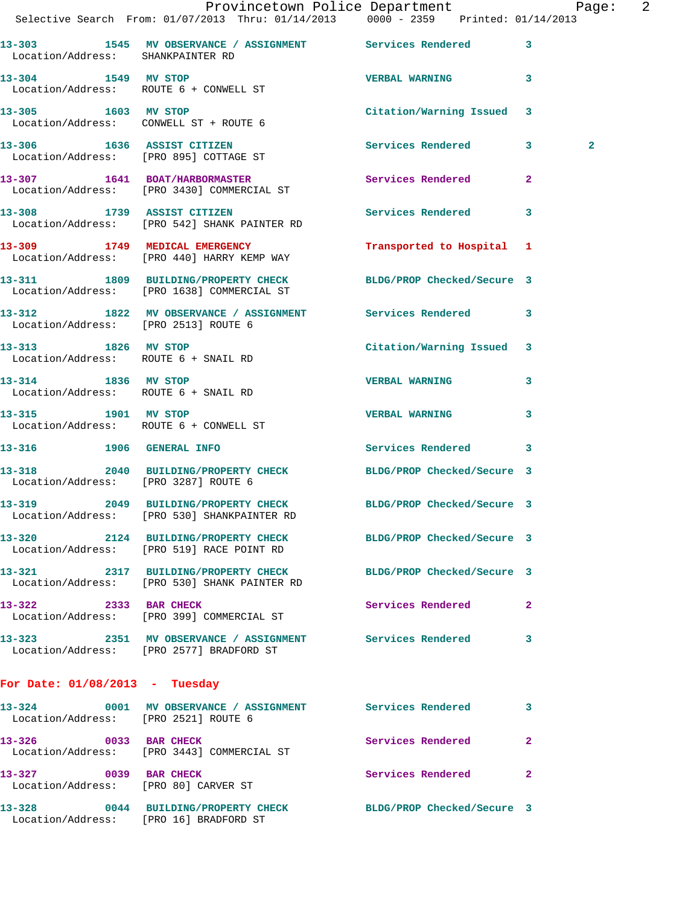|                                                             | Provincetown Police Department The Rage: 2<br>Selective Search From: 01/07/2013 Thru: 01/14/2013 0000 - 2359 Printed: 01/14/2013 |                            |                |
|-------------------------------------------------------------|----------------------------------------------------------------------------------------------------------------------------------|----------------------------|----------------|
| Location/Address: SHANKPAINTER RD                           | 13-303 1545 MV OBSERVANCE / ASSIGNMENT Services Rendered 3                                                                       |                            |                |
|                                                             | 13-304 1549 MV STOP<br>Location/Address: ROUTE 6 + CONWELL ST                                                                    | <b>VERBAL WARNING</b>      | $\mathbf{3}$   |
|                                                             | 13-305 1603 MV STOP<br>Location/Address: CONWELL ST + ROUTE 6                                                                    | Citation/Warning Issued 3  |                |
|                                                             | 13-306 1636 ASSIST CITIZEN<br>Location/Address: [PRO 895] COTTAGE ST                                                             | Services Rendered 3        | $\overline{a}$ |
|                                                             | 13-307 1641 BOAT/HARBORMASTER<br>Location/Address: [PRO 3430] COMMERCIAL ST                                                      | Services Rendered          | $\mathbf{2}$   |
|                                                             | 13-308 1739 ASSIST CITIZEN<br>Location/Address: [PRO 542] SHANK PAINTER RD                                                       | Services Rendered 3        |                |
|                                                             | 13-309 1749 MEDICAL EMERGENCY<br>Location/Address: [PRO 440] HARRY KEMP WAY                                                      | Transported to Hospital 1  |                |
|                                                             | 13-311 1809 BUILDING/PROPERTY CHECK BLDG/PROP Checked/Secure 3<br>Location/Address: [PRO 1638] COMMERCIAL ST                     |                            |                |
|                                                             | 13-312 1822 MV OBSERVANCE / ASSIGNMENT Services Rendered 3<br>Location/Address: [PRO 2513] ROUTE 6                               |                            |                |
| 13-313 1826 MV STOP                                         | Location/Address: ROUTE 6 + SNAIL RD                                                                                             | Citation/Warning Issued 3  |                |
| 13-314 1836 MV STOP<br>Location/Address: ROUTE 6 + SNAIL RD |                                                                                                                                  | <b>VERBAL WARNING</b>      | $\mathbf{3}$   |
| 13-315 1901 MV STOP                                         | Location/Address: ROUTE 6 + CONWELL ST                                                                                           | <b>VERBAL WARNING</b>      | 3              |
| 13-316 1906 GENERAL INFO                                    |                                                                                                                                  | Services Rendered 3        |                |
| Location/Address: [PRO 3287] ROUTE 6                        | 13-318 2040 BUILDING/PROPERTY CHECK BLDG/PROP Checked/Secure 3                                                                   |                            |                |
|                                                             | 13-319 2049 BUILDING/PROPERTY CHECK BLDG/PROP Checked/Secure 3<br>Location/Address: [PRO 530] SHANKPAINTER RD                    |                            |                |
| 13-320                                                      | 2124 BUILDING/PROPERTY CHECK BLDG/PROP Checked/Secure 3<br>Location/Address: [PRO 519] RACE POINT RD                             |                            |                |
|                                                             | 13-321 2317 BUILDING/PROPERTY CHECK<br>Location/Address: [PRO 530] SHANK PAINTER RD                                              | BLDG/PROP Checked/Secure 3 |                |
| 13-322 2333 BAR CHECK                                       | Location/Address: [PRO 399] COMMERCIAL ST                                                                                        | Services Rendered          | $\mathbf{2}$   |
|                                                             | 13-323 2351 MV OBSERVANCE / ASSIGNMENT Services Rendered<br>Location/Address: [PRO 2577] BRADFORD ST                             |                            | 3              |
| For Date: $01/08/2013$ - Tuesday                            |                                                                                                                                  |                            |                |
|                                                             | 13-324 0001 MV OBSERVANCE / ASSIGNMENT Services Rendered<br>Location/Address: [DRO 2521] ROUTE 6                                 |                            | 3              |

 Location/Address: [PRO 2521] ROUTE 6 **13-326** 0033 BAR CHECK Services Rendered 2 Location/Address: [PRO 3443] COMMERCIAL ST **13-327 0039 BAR CHECK Services Rendered 2**  Location/Address: [PRO 80] CARVER ST **13-328 0044 BUILDING/PROPERTY CHECK BLDG/PROP Checked/Secure 3**  Location/Address: [PRO 16] BRADFORD ST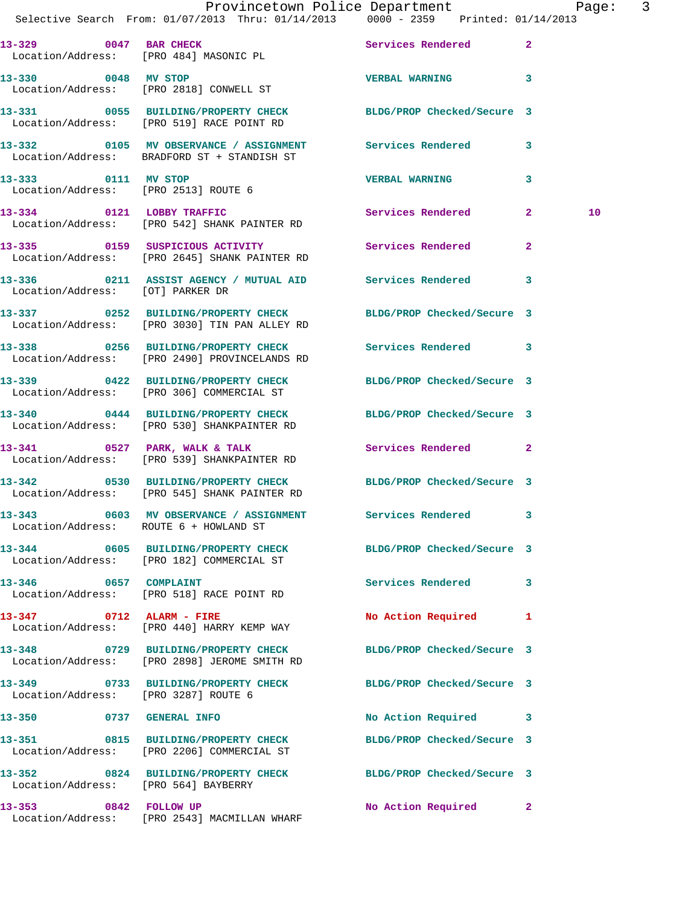|                          | Selective Search From: 01/07/2013 Thru: 01/14/2013 0000 - 2359 Printed: 01/14/2013                                      |  | Provincetown Police Department The Page: 3 |              |    |  |
|--------------------------|-------------------------------------------------------------------------------------------------------------------------|--|--------------------------------------------|--------------|----|--|
|                          | 13-329 0047 BAR CHECK<br>Location/Address: [PRO 484] MASONIC PL                                                         |  | Services Rendered 2                        |              |    |  |
|                          | 13-330 0048 MV STOP<br>Location/Address: [PRO 2818] CONWELL ST                                                          |  | <b>VERBAL WARNING</b> 3                    |              |    |  |
|                          | 13-331 0055 BUILDING/PROPERTY CHECK BLDG/PROP Checked/Secure 3<br>Location/Address: [PRO 519] RACE POINT RD             |  |                                            |              |    |  |
|                          | 13-332 0105 MV OBSERVANCE / ASSIGNMENT Services Rendered 3<br>Location/Address: BRADFORD ST + STANDISH ST               |  |                                            |              |    |  |
|                          | 13-333 0111 MV STOP<br>Location/Address: [PRO 2513] ROUTE 6                                                             |  | <b>VERBAL WARNING</b>                      | $\mathbf{3}$ |    |  |
|                          | 13-334 0121 LOBBY TRAFFIC<br>Location/Address: [PRO 542] SHANK PAINTER RD                                               |  | Services Rendered 2                        |              | 10 |  |
|                          | 13-335 0159 SUSPICIOUS ACTIVITY Services Rendered 2<br>Location/Address: [PRO 2645] SHANK PAINTER RD                    |  |                                            |              |    |  |
|                          | 13-336 0211 ASSIST AGENCY / MUTUAL AID Services Rendered 3<br>Location/Address: [OT] PARKER DR                          |  |                                            |              |    |  |
|                          | 13-337 0252 BUILDING/PROPERTY CHECK BLDG/PROP Checked/Secure 3<br>Location/Address: [PRO 3030] TIN PAN ALLEY RD         |  |                                            |              |    |  |
|                          | 13-338 0256 BUILDING/PROPERTY CHECK Services Rendered 3<br>Location/Address: [PRO 2490] PROVINCELANDS RD                |  |                                            |              |    |  |
|                          | 13-339 0422 BUILDING/PROPERTY CHECK BLDG/PROP Checked/Secure 3<br>Location/Address: [PRO 306] COMMERCIAL ST             |  |                                            |              |    |  |
|                          | 13-340 0444 BUILDING/PROPERTY CHECK BLDG/PROP Checked/Secure 3<br>Location/Address: [PRO 530] SHANKPAINTER RD           |  |                                            |              |    |  |
|                          | $13-341$ 0527 PARK, WALK & TALK<br>Location/Address: [PRO 539] SHANKPAINTER RD                                          |  | Services Rendered 2                        |              |    |  |
|                          | 13-342 0530 BUILDING/PROPERTY CHECK BLDG/PROP Checked/Secure 3<br>Location/Address: [PRO 545] SHANK PAINTER RD          |  |                                            |              |    |  |
|                          | 13-343       0603   MV OBSERVANCE / ASSIGNMENT       Services Rendered      3<br>Location/Address: ROUTE 6 + HOWLAND ST |  |                                            |              |    |  |
|                          | 13-344 0605 BUILDING/PROPERTY CHECK BLDG/PROP Checked/Secure 3<br>Location/Address: [PRO 182] COMMERCIAL ST             |  |                                            |              |    |  |
| 13-346 0657 COMPLAINT    | Location/Address: [PRO 518] RACE POINT RD                                                                               |  | Services Rendered 3                        |              |    |  |
|                          | 13-347 0712 ALARM - FIRE<br>Location/Address: [PRO 440] HARRY KEMP WAY                                                  |  | No Action Required 1                       |              |    |  |
|                          | 13-348 0729 BUILDING/PROPERTY CHECK BLDG/PROP Checked/Secure 3<br>Location/Address: [PRO 2898] JEROME SMITH RD          |  |                                            |              |    |  |
|                          | 13-349 0733 BUILDING/PROPERTY CHECK BLDG/PROP Checked/Secure 3<br>Location/Address: [PRO 3287] ROUTE 6                  |  |                                            |              |    |  |
| 13-350 0737 GENERAL INFO |                                                                                                                         |  | No Action Required 3                       |              |    |  |
|                          | 13-351 0815 BUILDING/PROPERTY CHECK<br>Location/Address: [PRO 2206] COMMERCIAL ST                                       |  | BLDG/PROP Checked/Secure 3                 |              |    |  |
| 13–352                   | 0824 BUILDING/PROPERTY CHECK BLDG/PROP Checked/Secure 3<br>Location/Address: [PRO 564] BAYBERRY                         |  |                                            |              |    |  |
| 13-353 0842 FOLLOW UP    |                                                                                                                         |  | No Action Required                         | $\mathbf{2}$ |    |  |

Location/Address: [PRO 2543] MACMILLAN WHARF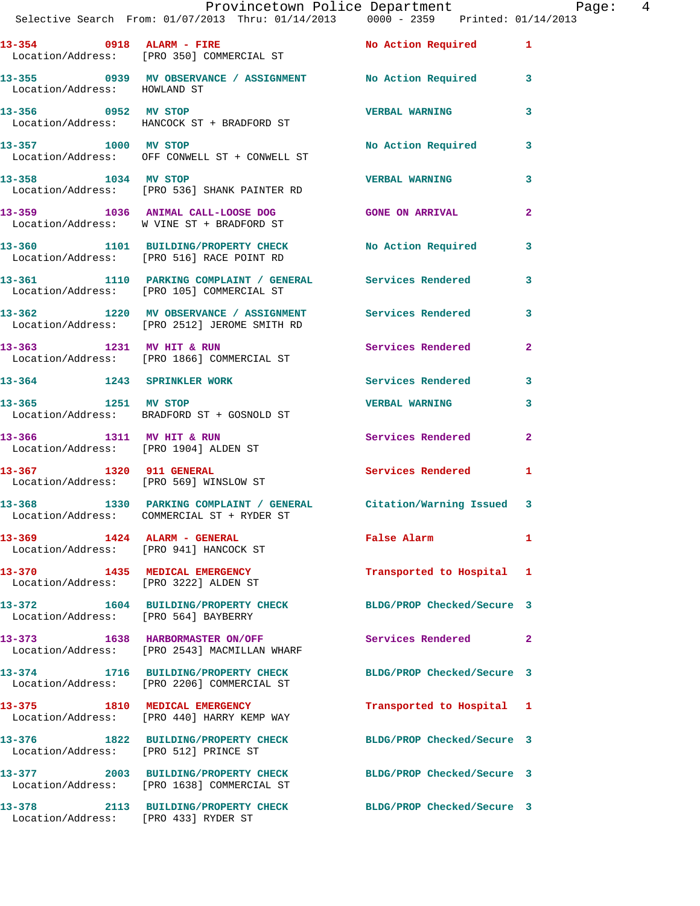|                                        | Provincetown Police Department Page:<br>Selective Search From: 01/07/2013 Thru: 01/14/2013 0000 - 2359 Printed: 01/14/2013 |                                             | 4            |
|----------------------------------------|----------------------------------------------------------------------------------------------------------------------------|---------------------------------------------|--------------|
|                                        | 13-354 0918 ALARM - FIRE                                                                                                   | No Action Required 1                        |              |
|                                        | Location/Address: [PRO 350] COMMERCIAL ST                                                                                  |                                             |              |
| Location/Address: HOWLAND ST           | 13-355 0939 MV OBSERVANCE / ASSIGNMENT No Action Required 3                                                                |                                             |              |
|                                        |                                                                                                                            | <b>VERBAL WARNING</b>                       | 3            |
| 13-357 1000 MV STOP                    | Location/Address: OFF CONWELL ST + CONWELL ST                                                                              | No Action Required 3                        |              |
| 13-358 1034 MV STOP                    | Location/Address: [PRO 536] SHANK PAINTER RD                                                                               | <b>VERBAL WARNING</b>                       | $\mathbf{3}$ |
|                                        | 13-359 1036 ANIMAL CALL-LOOSE DOG GONE ON ARRIVAL<br>Location/Address: W VINE ST + BRADFORD ST                             |                                             | $\mathbf{2}$ |
|                                        | 13-360 1101 BUILDING/PROPERTY CHECK No Action Required 3<br>Location/Address: [PRO 516] RACE POINT RD                      |                                             |              |
|                                        | 13-361 1110 PARKING COMPLAINT / GENERAL Services Rendered<br>Location/Address: [PRO 105] COMMERCIAL ST                     |                                             | 3            |
|                                        | 13-362 1220 MV OBSERVANCE / ASSIGNMENT Services Rendered 3<br>Location/Address: [PRO 2512] JEROME SMITH RD                 |                                             |              |
|                                        | 13-363 1231 MV HIT & RUN<br>Location/Address: [PRO 1866] COMMERCIAL ST                                                     | Services Rendered                           | $\mathbf{2}$ |
|                                        | 13-364 1243 SPRINKLER WORK 1 Services Rendered 3                                                                           |                                             |              |
|                                        | 13-365 1251 MV STOP<br>Location/Address: BRADFORD ST + GOSNOLD ST                                                          | <b>VERBAL WARNING</b>                       | 3            |
|                                        | 13-366 1311 MV HIT & RUN<br>Location/Address: [PRO 1904] ALDEN ST                                                          | Services Rendered 2                         |              |
| Location/Address: [PRO 569] WINSLOW ST | 13-367 1320 911 GENERAL                                                                                                    | <b>Services Rendered</b>                    | 1            |
| 13–368                                 | 1330 PARKING COMPLAINT / GENERAL Citation/Warning Issued 3<br>Location/Address: COMMERCIAL ST + RYDER ST                   |                                             |              |
|                                        | 13-369 1424 ALARM - GENERAL<br>Location/Address: [PRO 941] HANCOCK ST                                                      | False Alarm <b>Exercise Service Service</b> | 1            |
| 13-370 1435 MEDICAL EMERGENCY          | Location/Address: [PRO 3222] ALDEN ST                                                                                      | Transported to Hospital 1                   |              |
| Location/Address: [PRO 564] BAYBERRY   | 13-372 1604 BUILDING/PROPERTY CHECK BLDG/PROP Checked/Secure 3                                                             |                                             |              |
|                                        | 13-373 1638 HARBORMASTER ON/OFF<br>Location/Address: [PRO 2543] MACMILLAN WHARF                                            | Services Rendered 2                         |              |
|                                        | 13-374 1716 BUILDING/PROPERTY CHECK BLDG/PROP Checked/Secure 3<br>Location/Address: [PRO 2206] COMMERCIAL ST               |                                             |              |
|                                        | 13-375 1810 MEDICAL EMERGENCY<br>Location/Address: [PRO 440] HARRY KEMP WAY                                                | Transported to Hospital 1                   |              |
| Location/Address: [PRO 512] PRINCE ST  | 13-376 1822 BUILDING/PROPERTY CHECK BLDG/PROP Checked/Secure 3                                                             |                                             |              |
|                                        | 13-377 2003 BUILDING/PROPERTY CHECK BLDG/PROP Checked/Secure 3<br>Location/Address: [PRO 1638] COMMERCIAL ST               |                                             |              |
| Location/Address: [PRO 433] RYDER ST   | 13-378 2113 BUILDING/PROPERTY CHECK                                                                                        | BLDG/PROP Checked/Secure 3                  |              |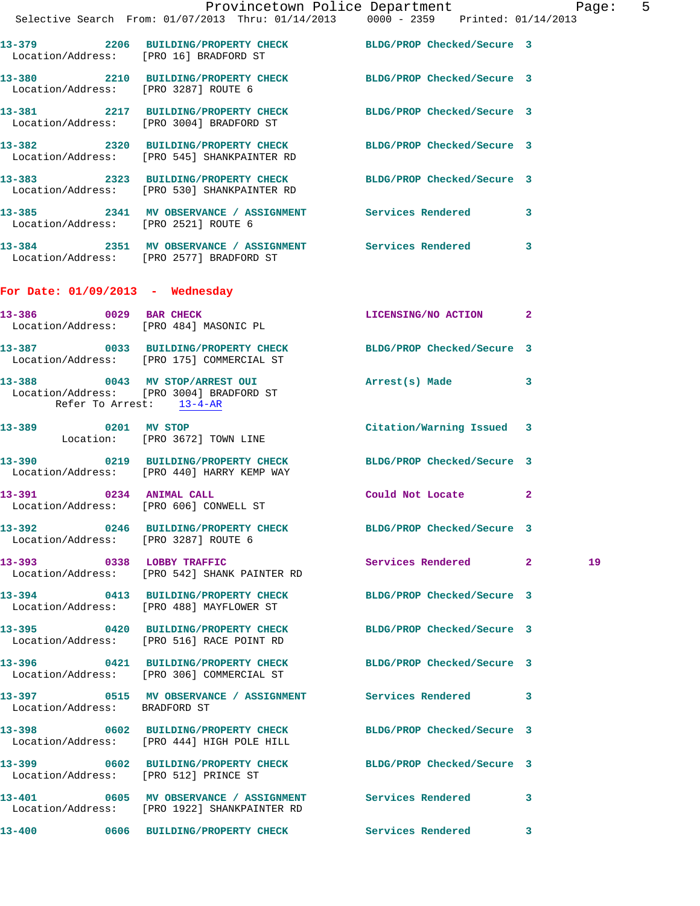|                                       | Provincetown Police Department Page: 5<br>Selective Search From: 01/07/2013 Thru: 01/14/2013 0000 - 2359 Printed: 01/14/2013 |                           |    |  |
|---------------------------------------|------------------------------------------------------------------------------------------------------------------------------|---------------------------|----|--|
|                                       | 13-379 2206 BUILDING/PROPERTY CHECK BLDG/PROP Checked/Secure 3<br>Location/Address: [PRO 16] BRADFORD ST                     |                           |    |  |
| Location/Address: [PRO 3287] ROUTE 6  | 13-380 2210 BUILDING/PROPERTY CHECK BLDG/PROP Checked/Secure 3                                                               |                           |    |  |
|                                       | 13-381 2217 BUILDING/PROPERTY CHECK BLDG/PROP Checked/Secure 3<br>Location/Address: [PRO 3004] BRADFORD ST                   |                           |    |  |
|                                       | 13-382 2320 BUILDING/PROPERTY CHECK BLDG/PROP Checked/Secure 3<br>Location/Address: [PRO 545] SHANKPAINTER RD                |                           |    |  |
|                                       | 13-383 2323 BUILDING/PROPERTY CHECK BLDG/PROP Checked/Secure 3<br>Location/Address: [PRO 530] SHANKPAINTER RD                |                           |    |  |
| Location/Address: [PRO 2521] ROUTE 6  | 13-385 2341 MV OBSERVANCE / ASSIGNMENT Services Rendered 3                                                                   |                           |    |  |
|                                       | 13-384 2351 MV OBSERVANCE / ASSIGNMENT Services Rendered 3<br>Location/Address: [PRO 2577] BRADFORD ST                       |                           |    |  |
| For Date: $01/09/2013$ - Wednesday    |                                                                                                                              |                           |    |  |
|                                       | 13-386 0029 BAR CHECK<br>Location/Address: [PRO 484] MASONIC PL                                                              | LICENSING/NO ACTION 2     |    |  |
|                                       | 13-387 0033 BUILDING/PROPERTY CHECK BLDG/PROP Checked/Secure 3<br>Location/Address: [PRO 175] COMMERCIAL ST                  |                           |    |  |
| Refer To Arrest: 13-4-AR              | 13-388 0043 MV STOP/ARREST OUI Arrest(s) Made 3<br>Location/Address: [PRO 3004] BRADFORD ST                                  |                           |    |  |
|                                       | 13-389 0201 MV STOP<br>Location: [PRO 3672] TOWN LINE                                                                        | Citation/Warning Issued 3 |    |  |
|                                       | 13-390 0219 BUILDING/PROPERTY CHECK BLDG/PROP Checked/Secure 3<br>Location/Address: [PRO 440] HARRY KEMP WAY                 |                           |    |  |
|                                       | 13-391 0234 ANIMAL CALL<br>Location/Address: [PRO 606] CONWELL ST                                                            | Could Not Locate 2        |    |  |
| Location/Address: [PRO 3287] ROUTE 6  | 13-392 0246 BUILDING/PROPERTY CHECK BLDG/PROP Checked/Secure 3                                                               |                           |    |  |
|                                       | 13-393 0338 LOBBY TRAFFIC<br>Location/Address: [PRO 542] SHANK PAINTER RD                                                    | Services Rendered 2       | 19 |  |
|                                       | 13-394 0413 BUILDING/PROPERTY CHECK BLDG/PROP Checked/Secure 3<br>Location/Address: [PRO 488] MAYFLOWER ST                   |                           |    |  |
|                                       | 13-395 0420 BUILDING/PROPERTY CHECK BLDG/PROP Checked/Secure 3<br>Location/Address: [PRO 516] RACE POINT RD                  |                           |    |  |
|                                       | 13-396 0421 BUILDING/PROPERTY CHECK BLDG/PROP Checked/Secure 3<br>Location/Address: [PRO 306] COMMERCIAL ST                  |                           |    |  |
| Location/Address: BRADFORD ST         | 13-397 0515 MV OBSERVANCE / ASSIGNMENT Services Rendered 3                                                                   |                           |    |  |
|                                       | 13-398 0602 BUILDING/PROPERTY CHECK BLDG/PROP Checked/Secure 3<br>Location/Address: [PRO 444] HIGH POLE HILL                 |                           |    |  |
| Location/Address: [PRO 512] PRINCE ST | 13-399 0602 BUILDING/PROPERTY CHECK BLDG/PROP Checked/Secure 3                                                               |                           |    |  |
|                                       | 13-401 0605 MV OBSERVANCE / ASSIGNMENT Services Rendered 3<br>Location/Address: [PRO 1922] SHANKPAINTER RD                   |                           |    |  |
|                                       | 13-400 0606 BUILDING/PROPERTY CHECK Services Rendered 3                                                                      |                           |    |  |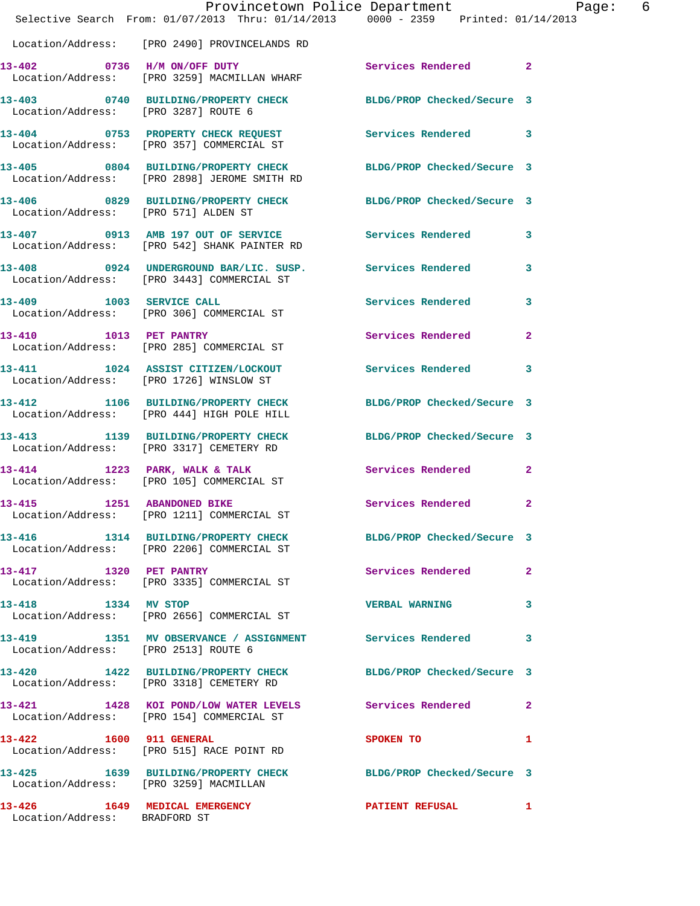|                                      | Provincetown Police Department Page: 6<br>Selective Search From: 01/07/2013 Thru: 01/14/2013 0000 - 2359 Printed: 01/14/2013 |                            |              |
|--------------------------------------|------------------------------------------------------------------------------------------------------------------------------|----------------------------|--------------|
|                                      | Location/Address: [PRO 2490] PROVINCELANDS RD                                                                                |                            |              |
|                                      | 13-402 0736 H/M ON/OFF DUTY<br>Location/Address: [PRO 3259] MACMILLAN WHARF                                                  | Services Rendered 2        |              |
| Location/Address: [PRO 3287] ROUTE 6 | 13-403 0740 BUILDING/PROPERTY CHECK BLDG/PROP Checked/Secure 3                                                               |                            |              |
|                                      | 13-404 0753 PROPERTY CHECK REQUEST Services Rendered 3<br>Location/Address: [PRO 357] COMMERCIAL ST                          |                            |              |
|                                      | 13-405 0804 BUILDING/PROPERTY CHECK BLDG/PROP Checked/Secure 3<br>Location/Address: [PRO 2898] JEROME SMITH RD               |                            |              |
| Location/Address: [PRO 571] ALDEN ST | 13-406 0829 BUILDING/PROPERTY CHECK BLDG/PROP Checked/Secure 3                                                               |                            |              |
|                                      | 13-407 0913 AMB 197 OUT OF SERVICE Services Rendered 3<br>Location/Address: [PRO 542] SHANK PAINTER RD                       |                            |              |
|                                      | 13-408 0924 UNDERGROUND BAR/LIC. SUSP. Services Rendered<br>Location/Address: [PRO 3443] COMMERCIAL ST                       |                            | 3            |
|                                      | 13-409 1003 SERVICE CALL<br>Location/Address: [PRO 306] COMMERCIAL ST                                                        | Services Rendered          | 3            |
|                                      | 13-410 1013 PET PANTRY<br>Location/Address: [PRO 285] COMMERCIAL ST                                                          | Services Rendered          | $\mathbf{2}$ |
|                                      | 13-411 1024 ASSIST CITIZEN/LOCKOUT<br>Location/Address: [PRO 1726] WINSLOW ST                                                | Services Rendered 3        |              |
|                                      | 13-412 1106 BUILDING/PROPERTY CHECK<br>Location/Address: [PRO 444] HIGH POLE HILL                                            | BLDG/PROP Checked/Secure 3 |              |
|                                      | 13-413 1139 BUILDING/PROPERTY CHECK BLDG/PROP Checked/Secure 3<br>Location/Address: [PRO 3317] CEMETERY RD                   |                            |              |
|                                      | 13-414 1223 PARK, WALK & TALK<br>Location/Address: [PRO 105] COMMERCIAL ST                                                   | Services Rendered          | $\mathbf{2}$ |
| 13-415                               | 1251 ABANDONED BIKE<br>Location/Address: [PRO 1211] COMMERCIAL ST                                                            | Services Rendered          | $\mathbf{2}$ |
|                                      | 13-416 1314 BUILDING/PROPERTY CHECK BLDG/PROP Checked/Secure 3<br>Location/Address: [PRO 2206] COMMERCIAL ST                 |                            |              |
|                                      | 13-417 1320 PET PANTRY<br>Location/Address: [PRO 3335] COMMERCIAL ST                                                         | Services Rendered          | $\mathbf{2}$ |
| 13-418 1334 MV STOP                  | Location/Address: [PRO 2656] COMMERCIAL ST                                                                                   | <b>VERBAL WARNING</b>      | 3            |
| Location/Address: [PRO 2513] ROUTE 6 | 13-419 1351 MV OBSERVANCE / ASSIGNMENT Services Rendered                                                                     |                            | 3            |
|                                      | 13-420 1422 BUILDING/PROPERTY CHECK BLDG/PROP Checked/Secure 3<br>Location/Address: [PRO 3318] CEMETERY RD                   |                            |              |
|                                      | 13-421 1428 KOI POND/LOW WATER LEVELS Services Rendered<br>Location/Address: [PRO 154] COMMERCIAL ST                         |                            | $\mathbf{2}$ |
|                                      | 13-422 1600 911 GENERAL<br>Location/Address: [PRO 515] RACE POINT RD                                                         | SPOKEN TO                  | 1            |
|                                      | 13-425 1639 BUILDING/PROPERTY CHECK BLDG/PROP Checked/Secure 3<br>Location/Address: [PRO 3259] MACMILLAN                     |                            |              |
| Location/Address: BRADFORD ST        | 13-426 1649 MEDICAL EMERGENCY PATIENT REFUSAL                                                                                |                            | $\mathbf{1}$ |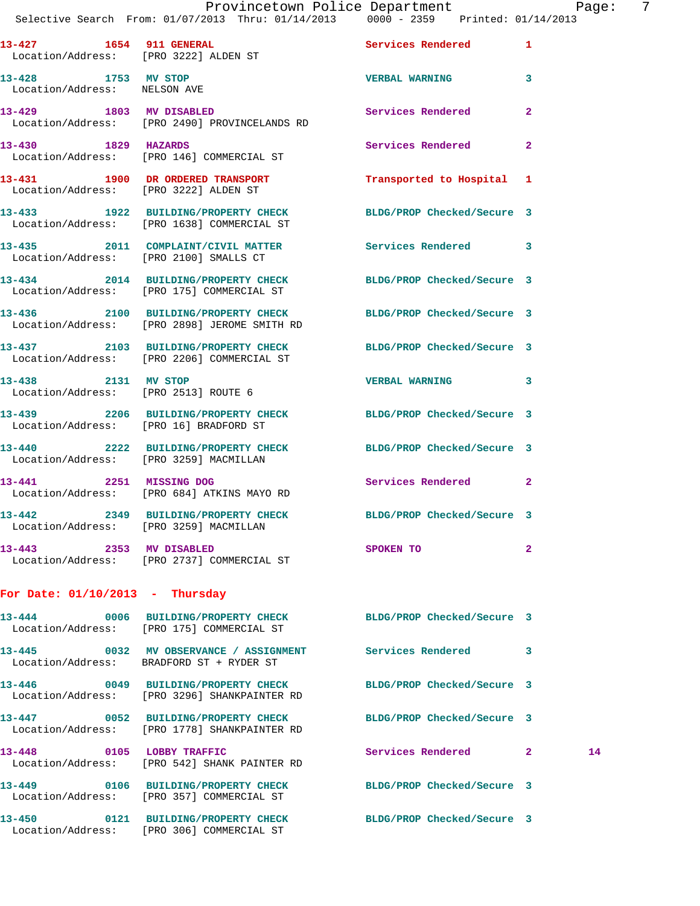|                                                     | Provincetown Police Department Page:<br>Selective Search From: 01/07/2013 Thru: 01/14/2013   0000 - 2359   Printed: 01/14/2013 |                            | 7            |
|-----------------------------------------------------|--------------------------------------------------------------------------------------------------------------------------------|----------------------------|--------------|
|                                                     | 13-427 1654 911 GENERAL<br>Location/Address: [PRO 3222] ALDEN ST                                                               | Services Rendered 1        |              |
| 13-428 1753 MV STOP<br>Location/Address: NELSON AVE |                                                                                                                                | VERBAL WARNING 3           |              |
| 13-429 1803 MV DISABLED                             | Location/Address: [PRO 2490] PROVINCELANDS RD                                                                                  | Services Rendered          | $\mathbf{2}$ |
| 13-430 1829 HAZARDS                                 | Location/Address: [PRO 146] COMMERCIAL ST                                                                                      | Services Rendered          | $\mathbf{2}$ |
|                                                     | 13-431 1900 DR ORDERED TRANSPORT<br>Location/Address: [PRO 3222] ALDEN ST                                                      | Transported to Hospital 1  |              |
|                                                     | 13-433 1922 BUILDING/PROPERTY CHECK BLDG/PROP Checked/Secure 3<br>Location/Address: [PRO 1638] COMMERCIAL ST                   |                            |              |
|                                                     | 13-435 2011 COMPLAINT/CIVIL MATTER Services Rendered 3<br>Location/Address: [PRO 2100] SMALLS CT                               |                            |              |
|                                                     | 13-434 2014 BUILDING/PROPERTY CHECK BLDG/PROP Checked/Secure 3<br>Location/Address: [PRO 175] COMMERCIAL ST                    |                            |              |
|                                                     | 13-436 2100 BUILDING/PROPERTY CHECK BLDG/PROP Checked/Secure 3<br>Location/Address: [PRO 2898] JEROME SMITH RD                 |                            |              |
|                                                     | 13-437 2103 BUILDING/PROPERTY CHECK BLDG/PROP Checked/Secure 3<br>Location/Address: [PRO 2206] COMMERCIAL ST                   |                            |              |
| 13-438 2131 MV STOP                                 | Location/Address: [PRO 2513] ROUTE 6                                                                                           | VERBAL WARNING 3           |              |
| Location/Address: [PRO 16] BRADFORD ST              | 13-439 2206 BUILDING/PROPERTY CHECK BLDG/PROP Checked/Secure 3                                                                 |                            |              |
|                                                     | 13-440 2222 BUILDING/PROPERTY CHECK BLDG/PROP Checked/Secure 3<br>Location/Address: [PRO 3259] MACMILLAN                       |                            |              |
|                                                     | 13-441 2251 MISSING DOG<br>Location/Address: [PRO 684] ATKINS MAYO RD                                                          | Services Rendered 2        |              |
|                                                     | 13-442 2349 BUILDING/PROPERTY CHECK BLDG/PROP Checked/Secure 3<br>Location/Address: [PRO 3259] MACMILLAN                       |                            |              |
| 13-443 2353 MV DISABLED                             | Location/Address: [PRO 2737] COMMERCIAL ST                                                                                     | SPOKEN TO                  | $\mathbf{2}$ |
| For Date: $01/10/2013$ - Thursday                   |                                                                                                                                |                            |              |
|                                                     | 13-444 0006 BUILDING/PROPERTY CHECK BLDG/PROP Checked/Secure 3<br>Location/Address: [PRO 175] COMMERCIAL ST                    |                            |              |
| $13 - 445$                                          | 0032 MV OBSERVANCE / ASSIGNMENT Services Rendered 3<br>Location/Address: BRADFORD ST + RYDER ST                                |                            |              |
|                                                     | 13-446 0049 BUILDING/PROPERTY CHECK<br>Location/Address: [PRO 3296] SHANKPAINTER RD                                            | BLDG/PROP Checked/Secure 3 |              |
| $13 - 447$                                          | 0052 BUILDING/PROPERTY CHECK BLDG/PROP Checked/Secure 3<br>Location/Address: [PRO 1778] SHANKPAINTER RD                        |                            |              |
| 13-448 0105 LOBBY TRAFFIC                           | Location/Address: [PRO 542] SHANK PAINTER RD                                                                                   | Services Rendered 2        | 14           |
| 13-449                                              | 0106 BUILDING/PROPERTY CHECK BLDG/PROP Checked/Secure 3<br>Location/Address: [PRO 357] COMMERCIAL ST                           |                            |              |
| 13-450                                              | 0121 BUILDING/PROPERTY CHECK BLDG/PROP Checked/Secure 3                                                                        |                            |              |

Location/Address: [PRO 306] COMMERCIAL ST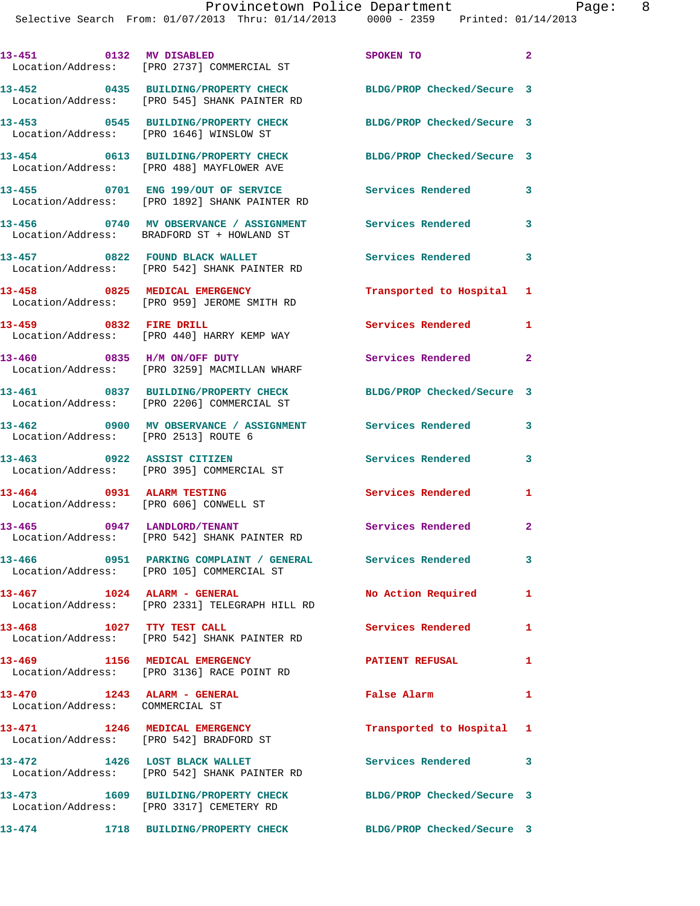|                                                                     | 13-451 0132 MV DISABLED<br>Location/Address: [PRO 2737] COMMERCIAL ST                                      | SPOKEN TO                  | $\mathbf{2}$   |
|---------------------------------------------------------------------|------------------------------------------------------------------------------------------------------------|----------------------------|----------------|
|                                                                     | 13-452 0435 BUILDING/PROPERTY CHECK<br>Location/Address: [PRO 545] SHANK PAINTER RD                        | BLDG/PROP Checked/Secure 3 |                |
|                                                                     | 13-453 0545 BUILDING/PROPERTY CHECK<br>Location/Address: [PRO 1646] WINSLOW ST                             | BLDG/PROP Checked/Secure 3 |                |
|                                                                     | 13-454 0613 BUILDING/PROPERTY CHECK<br>Location/Address: [PRO 488] MAYFLOWER AVE                           | BLDG/PROP Checked/Secure 3 |                |
|                                                                     | 13-455 0701 ENG 199/OUT OF SERVICE<br>Location/Address: [PRO 1892] SHANK PAINTER RD                        | Services Rendered          | 3              |
|                                                                     | 13-456 0740 MV OBSERVANCE / ASSIGNMENT<br>Location/Address: BRADFORD ST + HOWLAND ST                       | Services Rendered          | 3              |
|                                                                     | 13-457 0822 FOUND BLACK WALLET<br>Location/Address: [PRO 542] SHANK PAINTER RD                             | Services Rendered          | 3              |
| 13-458 0825 MEDICAL EMERGENCY                                       | Location/Address: [PRO 959] JEROME SMITH RD                                                                | Transported to Hospital 1  |                |
| 13-459 0832 FIRE DRILL                                              | Location/Address: [PRO 440] HARRY KEMP WAY                                                                 | Services Rendered 1        |                |
| 13-460 0835 H/M ON/OFF DUTY                                         | Location/Address: [PRO 3259] MACMILLAN WHARF                                                               | Services Rendered          | $\overline{a}$ |
|                                                                     | 13-461 0837 BUILDING/PROPERTY CHECK<br>Location/Address: [PRO 2206] COMMERCIAL ST                          | BLDG/PROP Checked/Secure 3 |                |
| Location/Address: [PRO 2513] ROUTE 6                                | 13-462 0900 MV OBSERVANCE / ASSIGNMENT                                                                     | Services Rendered          | 3              |
|                                                                     | 13-463 0922 ASSIST CITIZEN<br>Location/Address: [PRO 395] COMMERCIAL ST                                    | Services Rendered          | 3              |
| 13-464 0931 ALARM TESTING<br>Location/Address: [PRO 606] CONWELL ST |                                                                                                            | Services Rendered          | 1              |
| 13-465 0947 LANDLORD/TENANT                                         | Location/Address: [PRO 542] SHANK PAINTER RD                                                               | Services Rendered          | $\mathbf{2}$   |
| 13-466                                                              | 0951 PARKING COMPLAINT / GENERAL Services Rendered<br>Location/Address: [PRO 105] COMMERCIAL ST            |                            | 3 <sup>1</sup> |
| $13-467$ $1024$ $ALARM - GENERAL$                                   | Location/Address: [PRO 2331] TELEGRAPH HILL RD                                                             | No Action Required         | $\mathbf{1}$   |
| 13-468 1027 TTY TEST CALL                                           | Location/Address: [PRO 542] SHANK PAINTER RD                                                               | Services Rendered 1        |                |
|                                                                     | 13-469 1156 MEDICAL EMERGENCY<br>Location/Address: [PRO 3136] RACE POINT RD                                | <b>PATIENT REFUSAL</b>     | 1              |
| 13-470 1243 ALARM - GENERAL<br>Location/Address: COMMERCIAL ST      |                                                                                                            | <b>False Alarm</b>         | $\mathbf{1}$   |
| 13-471 1246 MEDICAL EMERGENCY                                       | Location/Address: [PRO 542] BRADFORD ST                                                                    | Transported to Hospital 1  |                |
|                                                                     | 13-472 1426 LOST BLACK WALLET<br>Location/Address: [PRO 542] SHANK PAINTER RD                              | Services Rendered 3        |                |
|                                                                     | 13-473 1609 BUILDING/PROPERTY CHECK BLDG/PROP Checked/Secure 3<br>Location/Address: [PRO 3317] CEMETERY RD |                            |                |
|                                                                     | 13-474 1718 BUILDING/PROPERTY CHECK                                                                        | BLDG/PROP Checked/Secure 3 |                |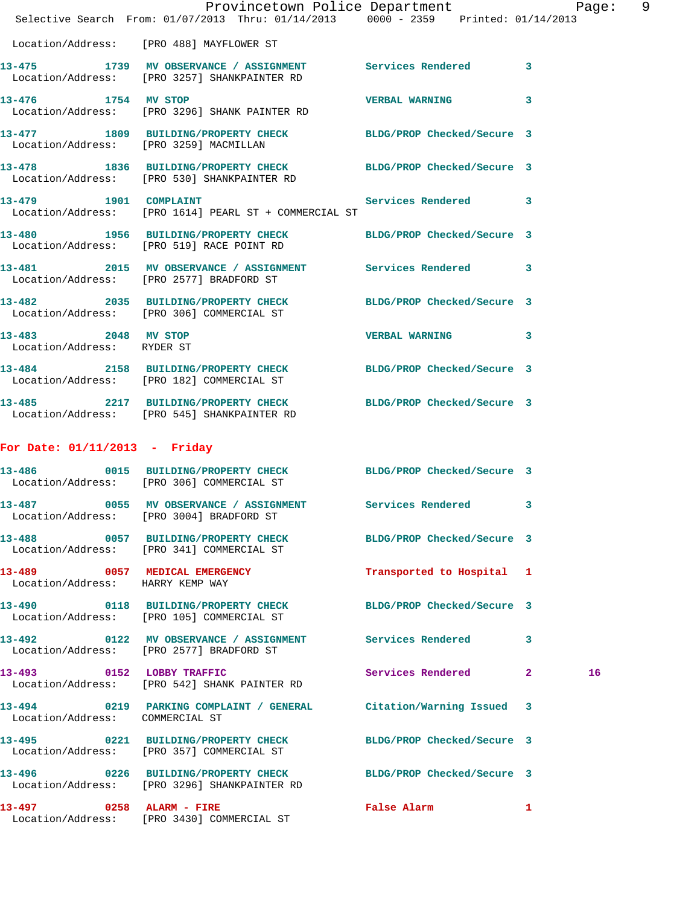|                                                   | Provincetown Police Department Page: 9<br>Selective Search From: 01/07/2013 Thru: 01/14/2013 0000 - 2359 Printed: 01/14/2013 |                                             |              |  |
|---------------------------------------------------|------------------------------------------------------------------------------------------------------------------------------|---------------------------------------------|--------------|--|
|                                                   | Location/Address: [PRO 488] MAYFLOWER ST                                                                                     |                                             |              |  |
|                                                   | 13-475 1739 MV OBSERVANCE / ASSIGNMENT Services Rendered 3<br>Location/Address: [PRO 3257] SHANKPAINTER RD                   |                                             |              |  |
| 13-476 1754 MV STOP                               | Location/Address: [PRO 3296] SHANK PAINTER RD                                                                                | <b>VERBAL WARNING</b>                       | 3            |  |
|                                                   | 13-477 1809 BUILDING/PROPERTY CHECK BLDG/PROP Checked/Secure 3<br>Location/Address: [PRO 3259] MACMILLAN                     |                                             |              |  |
|                                                   | 13-478 1836 BUILDING/PROPERTY CHECK BLDG/PROP Checked/Secure 3<br>Location/Address: [PRO 530] SHANKPAINTER RD                |                                             |              |  |
| 13-479 1901 COMPLAINT                             | Location/Address: [PRO 1614] PEARL ST + COMMERCIAL ST                                                                        | Services Rendered 3                         |              |  |
|                                                   | 13-480 1956 BUILDING/PROPERTY CHECK BLDG/PROP Checked/Secure 3<br>Location/Address: [PRO 519] RACE POINT RD                  |                                             |              |  |
|                                                   | 13-481 2015 MV OBSERVANCE / ASSIGNMENT Services Rendered 3<br>Location/Address: [PRO 2577] BRADFORD ST                       |                                             |              |  |
|                                                   | 13-482 2035 BUILDING/PROPERTY CHECK BLDG/PROP Checked/Secure 3<br>Location/Address: [PRO 306] COMMERCIAL ST                  |                                             |              |  |
| 13-483 2048 MV STOP<br>Location/Address: RYDER ST |                                                                                                                              | <b>VERBAL WARNING</b>                       | 3            |  |
|                                                   | 13-484 2158 BUILDING/PROPERTY CHECK BLDG/PROP Checked/Secure 3<br>Location/Address: [PRO 182] COMMERCIAL ST                  |                                             |              |  |
|                                                   | 13-485 2217 BUILDING/PROPERTY CHECK BLDG/PROP Checked/Secure 3<br>Location/Address: [PRO 545] SHANKPAINTER RD                |                                             |              |  |
| For Date: $01/11/2013$ - Friday                   |                                                                                                                              |                                             |              |  |
|                                                   | 13-486 0015 BUILDING/PROPERTY CHECK BLDG/PROP Checked/Secure 3<br>Location/Address: [PRO 306] COMMERCIAL ST                  |                                             |              |  |
|                                                   | 13-487 0055 MV OBSERVANCE / ASSIGNMENT Services Rendered 3<br>Location/Address: [PRO 3004] BRADFORD ST                       |                                             |              |  |
|                                                   | 13-488 0057 BUILDING/PROPERTY CHECK BLDG/PROP Checked/Secure 3<br>Location/Address: [PRO 341] COMMERCIAL ST                  |                                             |              |  |
| Location/Address: HARRY KEMP WAY                  | 13-489 0057 MEDICAL EMERGENCY Transported to Hospital 1                                                                      |                                             |              |  |
|                                                   | 13-490 0118 BUILDING/PROPERTY CHECK BLDG/PROP Checked/Secure 3<br>Location/Address: [PRO 105] COMMERCIAL ST                  |                                             |              |  |
|                                                   | 13-492 0122 MV OBSERVANCE / ASSIGNMENT Services Rendered 3<br>Location/Address: [PRO 2577] BRADFORD ST                       |                                             |              |  |
|                                                   | 13-493 0152 LOBBY TRAFFIC<br>Location/Address: [PRO 542] SHANK PAINTER RD                                                    | Services Rendered 2                         | 16           |  |
| Location/Address: COMMERCIAL ST                   | 13-494 0219 PARKING COMPLAINT / GENERAL Citation/Warning Issued 3                                                            |                                             |              |  |
|                                                   | 13-495 0221 BUILDING/PROPERTY CHECK BLDG/PROP Checked/Secure 3<br>Location/Address: [PRO 357] COMMERCIAL ST                  |                                             |              |  |
|                                                   | 13-496 0226 BUILDING/PROPERTY CHECK BLDG/PROP Checked/Secure 3<br>Location/Address: [PRO 3296] SHANKPAINTER RD               |                                             |              |  |
|                                                   | 13-497 0258 ALARM - FIRE<br>Location/Address: [PRO 3430] COMMERCIAL ST                                                       | False Alarm <b>Exercise Service Service</b> | $\mathbf{1}$ |  |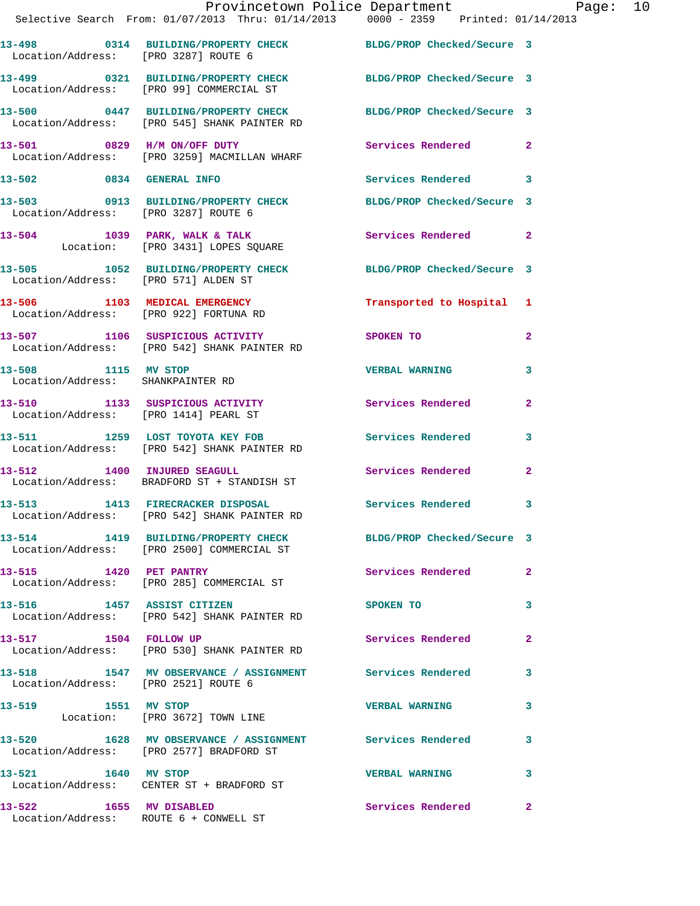|                                                          | Provincetown Police Department Page: 10<br>Selective Search From: $01/07/2013$ Thru: $01/14/2013$ $0000 - 2359$ Printed: $01/14/2013$ |                           |              |  |
|----------------------------------------------------------|---------------------------------------------------------------------------------------------------------------------------------------|---------------------------|--------------|--|
| Location/Address: [PRO 3287] ROUTE 6                     | 13-498 0314 BUILDING/PROPERTY CHECK BLDG/PROP Checked/Secure 3                                                                        |                           |              |  |
|                                                          | 13-499 0321 BUILDING/PROPERTY CHECK BLDG/PROP Checked/Secure 3<br>Location/Address: [PRO 99] COMMERCIAL ST                            |                           |              |  |
|                                                          | 13-500 0447 BUILDING/PROPERTY CHECK BLDG/PROP Checked/Secure 3<br>Location/Address: [PRO 545] SHANK PAINTER RD                        |                           |              |  |
|                                                          | 13-501 0829 H/M ON/OFF DUTY<br>Location/Address: [PRO 3259] MACMILLAN WHARF                                                           | Services Rendered 2       |              |  |
|                                                          | 13-502 0834 GENERAL INFO                                                                                                              | Services Rendered 3       |              |  |
|                                                          | 13-503 0913 BUILDING/PROPERTY CHECK BLDG/PROP Checked/Secure 3<br>Location/Address: [PRO 3287] ROUTE 6                                |                           |              |  |
|                                                          | 13-504 1039 PARK, WALK & TALK<br>Location: [PRO 3431] LOPES SQUARE                                                                    | Services Rendered 2       |              |  |
|                                                          | 13-505 1052 BUILDING/PROPERTY CHECK BLDG/PROP Checked/Secure 3<br>Incation/Address: [PRO 571] ALDEN ST                                |                           |              |  |
|                                                          | 13-506 1103 MEDICAL EMERGENCY<br>Location/Address: [PRO 922] FORTUNA RD                                                               | Transported to Hospital 1 |              |  |
|                                                          | 13-507 1106 SUSPICIOUS ACTIVITY<br>Location/Address: [PRO 542] SHANK PAINTER RD                                                       | <b>SPOKEN TO</b>          | $\mathbf{2}$ |  |
| 13-508 1115 MV STOP<br>Location/Address: SHANKPAINTER RD |                                                                                                                                       | VERBAL WARNING 3          |              |  |
| Location/Address: [PRO 1414] PEARL ST                    | 13-510 1133 SUSPICIOUS ACTIVITY Services Rendered 2                                                                                   |                           |              |  |
|                                                          | 13-511 1259 LOST TOYOTA KEY FOB Services Rendered 3<br>Location/Address: [PRO 542] SHANK PAINTER RD                                   |                           |              |  |
|                                                          | 13-512 1400 INJURED SEAGULL<br>Location/Address: BRADFORD ST + STANDISH ST                                                            | Services Rendered         | $\mathbf{2}$ |  |
| $13 - 513$                                               | 1413 FIRECRACKER DISPOSAL Services Rendered 3<br>Location/Address: [PRO 542] SHANK PAINTER RD                                         |                           |              |  |
|                                                          | 13-514 1419 BUILDING/PROPERTY CHECK BLDG/PROP Checked/Secure 3<br>Location/Address: [PRO 2500] COMMERCIAL ST                          |                           |              |  |
|                                                          | 13-515 1420 PET PANTRY<br>Location/Address: [PRO 285] COMMERCIAL ST                                                                   | Services Rendered 2       |              |  |
|                                                          | 13-516 1457 ASSIST CITIZEN<br>Location/Address: [PRO 542] SHANK PAINTER RD                                                            | <b>SPOKEN TO</b>          | 3            |  |
|                                                          | 13-517 1504 FOLLOW UP<br>Location/Address: [PRO 530] SHANK PAINTER RD                                                                 | <b>Services Rendered</b>  | $\mathbf{2}$ |  |
| Location/Address: [PRO 2521] ROUTE 6                     | 13-518 1547 MV OBSERVANCE / ASSIGNMENT Services Rendered 3                                                                            |                           |              |  |
| 13-519 1551 MV STOP                                      | Location: [PRO 3672] TOWN LINE                                                                                                        | VERBAL WARNING 3          |              |  |
|                                                          | 13-520 1628 MV OBSERVANCE / ASSIGNMENT Services Rendered 3<br>Location/Address: [PRO 2577] BRADFORD ST                                |                           |              |  |
| 13-521 1640 MV STOP                                      | Location/Address: CENTER ST + BRADFORD ST                                                                                             | VERBAL WARNING 3          |              |  |
|                                                          | 13-522 1655 MV DISABLED<br>Location/Address: ROUTE 6 + CONWELL ST                                                                     | Services Rendered 2       |              |  |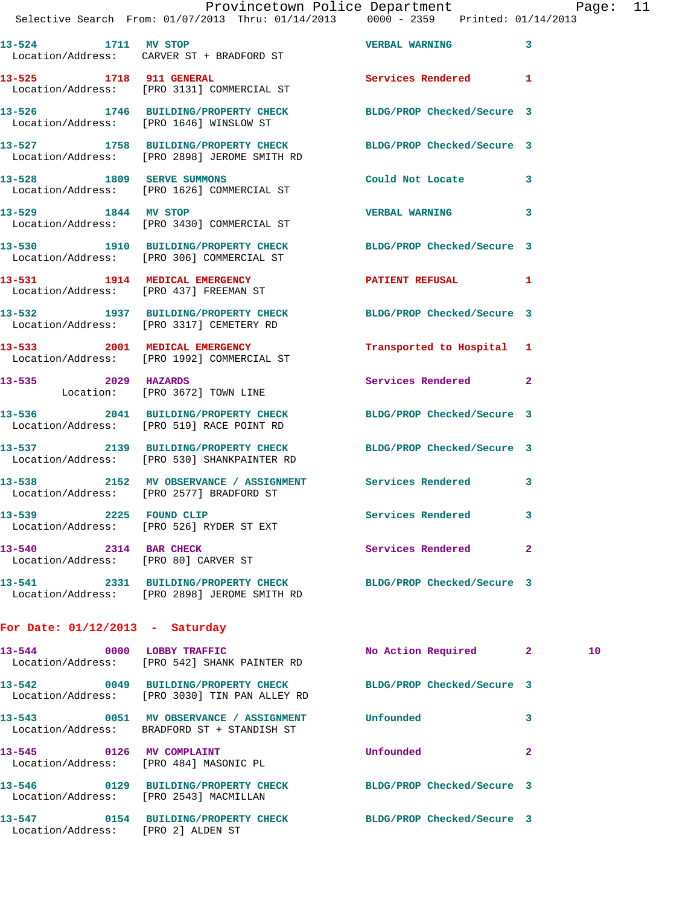|        |      |                                                                  | Provincetown Police Department |                       | Selective Search From: 01/07/2013 Thru: 01/14/2013 0000 - 2359 Printed: 01/14/2013 |
|--------|------|------------------------------------------------------------------|--------------------------------|-----------------------|------------------------------------------------------------------------------------|
| 13–524 | 1711 | MV STOP<br>Location/Address: CARVER ST + BRADFORD ST             |                                | <b>VERBAL WARNING</b> |                                                                                    |
| 13–525 | 1718 | <b>911 GENERAL</b><br>Location/Address: [PRO 3131] COMMERCIAL ST |                                | Services Rendered     |                                                                                    |

**13-526 1746 BUILDING/PROPERTY CHECK BLDG/PROP Checked/Secure 3**  Location/Address: [PRO 1646] WINSLOW ST

Location/Address: [PRO 2898] JEROME SMITH RD

**13-528 1809 SERVE SUMMONS Could Not Locate 3**  Location/Address: [PRO 1626] COMMERCIAL ST

Location/Address: [PRO 306] COMMERCIAL ST

**13-535 2029 HAZARDS Services Rendered 2** 

Location/Address: [PRO 519] RACE POINT RD

Location/Address: [PRO 80] CARVER ST

## **For Date: 01/12/2013 - Saturday**

| $13 - 544$<br>0000                                       | <b>LOBBY TRAFFIC</b><br>Location/Address: [PRO 542] SHANK PAINTER RD      | No Action Required         | $\overline{2}$<br>10 |  |
|----------------------------------------------------------|---------------------------------------------------------------------------|----------------------------|----------------------|--|
| 13-542<br>0049                                           | BUILDING/PROPERTY CHECK<br>Location/Address: [PRO 3030] TIN PAN ALLEY RD  | BLDG/PROP Checked/Secure 3 |                      |  |
| 0051<br>$13 - 543$                                       | MV OBSERVANCE / ASSIGNMENT<br>Location/Address: BRADFORD ST + STANDISH ST | Unfounded                  | 3                    |  |
| 13-545<br>0126<br>Location/Address: [PRO 484] MASONIC PL | MV COMPLAINT                                                              | Unfounded                  | 2                    |  |
| 13-546<br>0129<br>Location/Address: [PRO 2543] MACMILLAN | BUILDING/PROPERTY CHECK                                                   | BLDG/PROP Checked/Secure 3 |                      |  |
| $13 - 547$<br>0154<br>Location/Address:                  | <b>BUILDING/PROPERTY CHECK</b><br>[PRO 2] ALDEN ST                        | BLDG/PROP Checked/Secure 3 |                      |  |

**13-529 1844 MV STOP VERBAL WARNING 3**  Location/Address: [PRO 3430] COMMERCIAL ST

**13-530 1910 BUILDING/PROPERTY CHECK BLDG/PROP Checked/Secure 3** 

**13-531 1914 MEDICAL EMERGENCY PATIENT REFUSAL 1**  Location/Address: [PRO 437] FREEMAN ST

**13-532 1937 BUILDING/PROPERTY CHECK BLDG/PROP Checked/Secure 3**  Location/Address: [PRO 3317] CEMETERY RD

**13-533 2001 MEDICAL EMERGENCY Transported to Hospital 1**  Location/Address: [PRO 1992] COMMERCIAL ST

Location: [PRO 3672] TOWN LINE

**13-536 2041 BUILDING/PROPERTY CHECK BLDG/PROP Checked/Secure 3** 

**13-537 2139 BUILDING/PROPERTY CHECK BLDG/PROP Checked/Secure 3** 

Location/Address: [PRO 530] SHANKPAINTER RD

**13-538 2152 MV OBSERVANCE / ASSIGNMENT Services Rendered 3**  Location/Address: [PRO 2577] BRADFORD ST

13-539 2225 FOUND CLIP **Services Rendered** 3 Location/Address: [PRO 526] RYDER ST EXT

**13-540 2314 BAR CHECK Services Rendered 2** 

**13-541 2331 BUILDING/PROPERTY CHECK BLDG/PROP Checked/Secure 3**  Location/Address: [PRO 2898] JEROME SMITH RD

Page:  $11$ <br>(2013)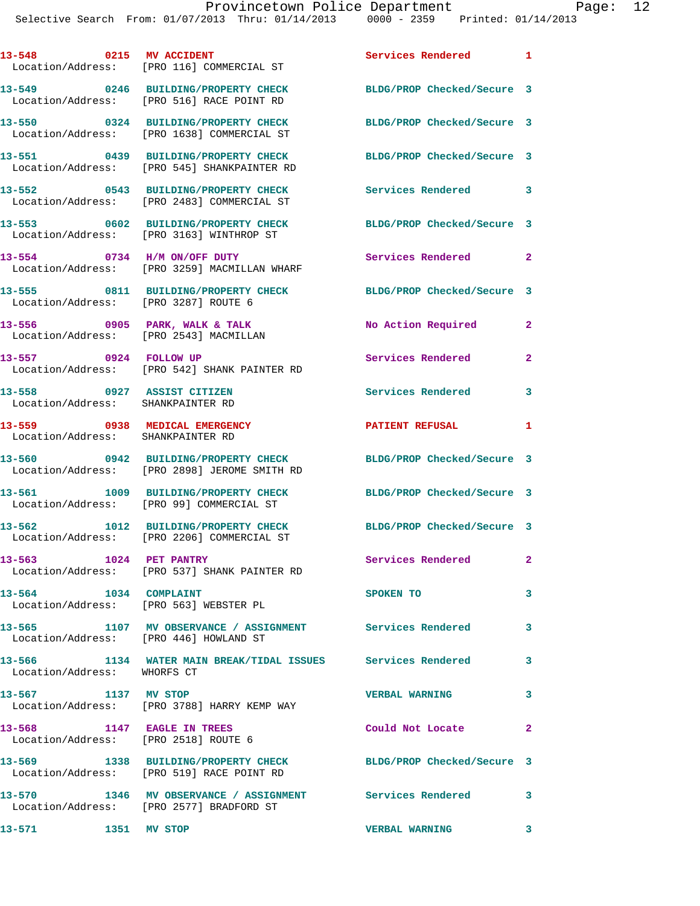|                                                                    | 13-548 0215 MV ACCIDENT<br>Location/Address: [PRO 116] COMMERCIAL ST                                           | Services Rendered 1        |                            |
|--------------------------------------------------------------------|----------------------------------------------------------------------------------------------------------------|----------------------------|----------------------------|
|                                                                    | 13-549 0246 BUILDING/PROPERTY CHECK BLDG/PROP Checked/Secure 3<br>Location/Address: [PRO 516] RACE POINT RD    |                            |                            |
|                                                                    | 13-550 0324 BUILDING/PROPERTY CHECK<br>Location/Address: [PRO 1638] COMMERCIAL ST                              | BLDG/PROP Checked/Secure 3 |                            |
|                                                                    | 13-551 0439 BUILDING/PROPERTY CHECK<br>Location/Address: [PRO 545] SHANKPAINTER RD                             | BLDG/PROP Checked/Secure 3 |                            |
|                                                                    | 13-552 0543 BUILDING/PROPERTY CHECK<br>Location/Address: [PRO 2483] COMMERCIAL ST                              | Services Rendered 3        |                            |
|                                                                    | 13-553 0602 BUILDING/PROPERTY CHECK<br>Location/Address: [PRO 3163] WINTHROP ST                                | BLDG/PROP Checked/Secure 3 |                            |
|                                                                    | 13-554 0734 H/M ON/OFF DUTY<br>Location/Address: [PRO 3259] MACMILLAN WHARF                                    | Services Rendered          | $\overline{\phantom{0}}$ 2 |
| Location/Address: [PRO 3287] ROUTE 6                               | 13-555 0811 BUILDING/PROPERTY CHECK                                                                            | BLDG/PROP Checked/Secure 3 |                            |
|                                                                    | $13-556$ 0905 PARK, WALK & TALK<br>Location/Address: [PRO 2543] MACMILLAN                                      | No Action Required         | $\mathbf{2}$               |
|                                                                    | 13-557 0924 FOLLOW UP<br>Location/Address: [PRO 542] SHANK PAINTER RD                                          | Services Rendered          | $\mathbf{2}$               |
| 13-558 0927 ASSIST CITIZEN<br>Location/Address: SHANKPAINTER RD    |                                                                                                                | Services Rendered 3        |                            |
| 13-559 0938 MEDICAL EMERGENCY<br>Location/Address: SHANKPAINTER RD |                                                                                                                | <b>PATIENT REFUSAL</b>     | 1                          |
|                                                                    | 13-560 0942 BUILDING/PROPERTY CHECK BLDG/PROP Checked/Secure 3<br>Location/Address: [PRO 2898] JEROME SMITH RD |                            |                            |
|                                                                    | 13-561 1009 BUILDING/PROPERTY CHECK<br>Location/Address: [PRO 99] COMMERCIAL ST                                | BLDG/PROP Checked/Secure 3 |                            |
| 13-562                                                             | 1012 BUILDING/PROPERTY CHECK<br>Location/Address: [PRO 2206] COMMERCIAL ST                                     | BLDG/PROP Checked/Secure 3 |                            |
| 13-563 1024 PET PANTRY                                             | Location/Address: [PRO 537] SHANK PAINTER RD                                                                   | Services Rendered          | $\mathbf{2}$               |
| 1034 COMPLAINT<br>13-564                                           | Location/Address: [PRO 563] WEBSTER PL                                                                         | <b>SPOKEN TO</b>           | 3                          |
| Location/Address: [PRO 446] HOWLAND ST                             | 13-565 1107 MV OBSERVANCE / ASSIGNMENT Services Rendered                                                       |                            | 3                          |
| Location/Address: WHORFS CT                                        | 13-566 1134 WATER MAIN BREAK/TIDAL ISSUES Services Rendered                                                    |                            | $\overline{\mathbf{3}}$    |
| 13-567 1137 MV STOP                                                | Location/Address: [PRO 3788] HARRY KEMP WAY                                                                    | <b>VERBAL WARNING</b>      | $\mathbf{3}$               |
| 13–568                                                             | 1147 EAGLE IN TREES<br>Location/Address: [PRO 2518] ROUTE 6                                                    | Could Not Locate 2         |                            |
|                                                                    | 13-569 1338 BUILDING/PROPERTY CHECK BLDG/PROP Checked/Secure 3<br>Location/Address: [PRO 519] RACE POINT RD    |                            |                            |
| 13-570                                                             | 1346 MV OBSERVANCE / ASSIGNMENT Services Rendered 3<br>Location/Address: [PRO 2577] BRADFORD ST                |                            |                            |
| 13-571 1351 MV STOP                                                |                                                                                                                | VERBAL WARNING 3           |                            |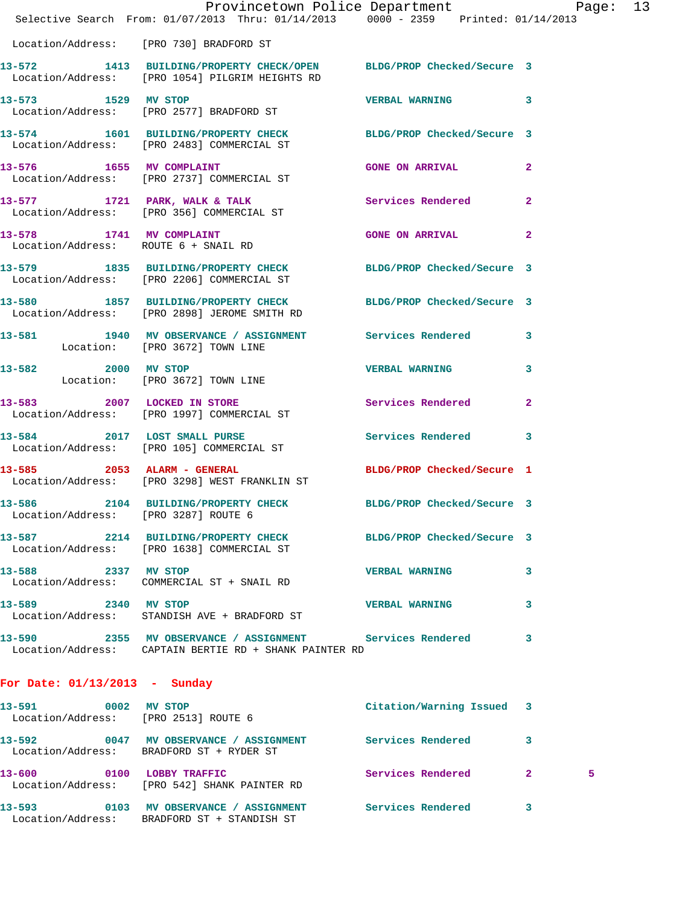|                                                             | Provincetown Police Department Page: 13<br>Selective Search From: 01/07/2013 Thru: 01/14/2013 0000 - 2359 Printed: 01/14/2013 |                            |              |
|-------------------------------------------------------------|-------------------------------------------------------------------------------------------------------------------------------|----------------------------|--------------|
|                                                             | Location/Address: [PRO 730] BRADFORD ST                                                                                       |                            |              |
|                                                             | 13-572 1413 BUILDING/PROPERTY CHECK/OPEN BLDG/PROP Checked/Secure 3<br>Location/Address: [PRO 1054] PILGRIM HEIGHTS RD        |                            |              |
|                                                             | 13-573 1529 MV STOP<br>Location/Address: [PRO 2577] BRADFORD ST                                                               | <b>VERBAL WARNING</b>      | 3            |
|                                                             | 13-574 1601 BUILDING/PROPERTY CHECK BLDG/PROP Checked/Secure 3<br>Location/Address: [PRO 2483] COMMERCIAL ST                  |                            |              |
|                                                             | 13-576 1655 MV COMPLAINT<br>Location/Address: [PRO 2737] COMMERCIAL ST                                                        | <b>GONE ON ARRIVAL</b>     | $\mathbf{2}$ |
|                                                             | 13-577 1721 PARK, WALK & TALK<br>Location/Address: [PRO 356] COMMERCIAL ST                                                    | Services Rendered          | $\mathbf{2}$ |
|                                                             | 13-578 1741 MV COMPLAINT<br>Location/Address: ROUTE 6 + SNAIL RD                                                              | <b>GONE ON ARRIVAL</b>     | $\mathbf{2}$ |
|                                                             | 13-579 1835 BUILDING/PROPERTY CHECK BLDG/PROP Checked/Secure 3<br>Location/Address: [PRO 2206] COMMERCIAL ST                  |                            |              |
|                                                             | 13-580 1857 BUILDING/PROPERTY CHECK BLDG/PROP Checked/Secure 3<br>Location/Address: [PRO 2898] JEROME SMITH RD                |                            |              |
|                                                             | 13-581 1940 MV OBSERVANCE / ASSIGNMENT Services Rendered<br>Location: [PRO 3672] TOWN LINE                                    |                            | 3            |
|                                                             | 13-582 2000 MV STOP<br>Location: [PRO 3672] TOWN LINE                                                                         | VERBAL WARNING 3           |              |
|                                                             | 13-583 2007 LOCKED IN STORE<br>Location/Address: [PRO 1997] COMMERCIAL ST                                                     | <b>Services Rendered</b>   | $\mathbf{2}$ |
|                                                             | 13-584 2017 LOST SMALL PURSE<br>Location/Address: [PRO 105] COMMERCIAL ST                                                     | Services Rendered 3        |              |
|                                                             | 13-585 2053 ALARM - GENERAL<br>Location/Address: [PRO 3298] WEST FRANKLIN ST                                                  | BLDG/PROP Checked/Secure 1 |              |
|                                                             | 13-586 2104 BUILDING/PROPERTY CHECK BLDG/PROP Checked/Secure 3<br>Location/Address: [PRO 3287] ROUTE 6                        |                            |              |
|                                                             | 13-587 2214 BUILDING/PROPERTY CHECK BLDG/PROP Checked/Secure 3<br>Location/Address: [PRO 1638] COMMERCIAL ST                  |                            |              |
| 13-588 2337 MV STOP                                         | Location/Address: COMMERCIAL ST + SNAIL RD                                                                                    | <b>VERBAL WARNING</b>      | 3            |
| 13-589 2340 MV STOP                                         | Location/Address: STANDISH AVE + BRADFORD ST                                                                                  | <b>VERBAL WARNING</b>      | 3            |
|                                                             | Location/Address: CAPTAIN BERTIE RD + SHANK PAINTER RD                                                                        |                            | 3            |
| For Date: $01/13/2013$ - Sunday                             |                                                                                                                               |                            |              |
| 13-591 0002 MV STOP<br>Location/Address: [PRO 2513] ROUTE 6 |                                                                                                                               | Citation/Warning Issued 3  |              |
|                                                             | 13-592 0047 MV OBSERVANCE / ASSIGNMENT Services Rendered<br>Location/Address: BRADFORD ST + RYDER ST                          |                            | 3            |

**13-600 0100 LOBBY TRAFFIC Services Rendered 2 5**  Location/Address: [PRO 542] SHANK PAINTER RD

**13-593 0103 MV OBSERVANCE / ASSIGNMENT Services Rendered 3**  Location/Address: BRADFORD ST + STANDISH ST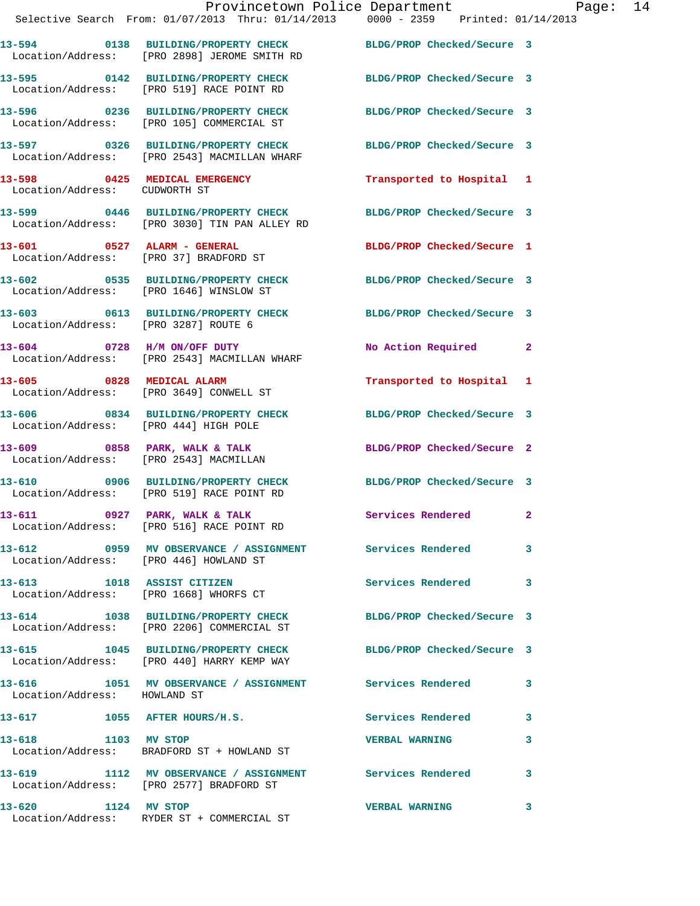|                                        | Provincetown Police Department Page: 14<br>Selective Search From: 01/07/2013 Thru: 01/14/2013   0000 - 2359   Printed: 01/14/2013 |                               |   |
|----------------------------------------|-----------------------------------------------------------------------------------------------------------------------------------|-------------------------------|---|
|                                        | 13-594 0138 BUILDING/PROPERTY CHECK BLDG/PROP Checked/Secure 3<br>Location/Address: [PRO 2898] JEROME SMITH RD                    |                               |   |
|                                        | 13-595 0142 BUILDING/PROPERTY CHECK BLDG/PROP Checked/Secure 3<br>Location/Address: [PRO 519] RACE POINT RD                       |                               |   |
|                                        | 13-596 0236 BUILDING/PROPERTY CHECK BLDG/PROP Checked/Secure 3<br>Location/Address: [PRO 105] COMMERCIAL ST                       |                               |   |
|                                        | 13-597 0326 BUILDING/PROPERTY CHECK BLDG/PROP Checked/Secure 3<br>Location/Address: [PRO 2543] MACMILLAN WHARF                    |                               |   |
| Location/Address: CUDWORTH ST          | 13-598 0425 MEDICAL EMERGENCY Transported to Hospital 1                                                                           |                               |   |
|                                        | 13-599 0446 BUILDING/PROPERTY CHECK BLDG/PROP Checked/Secure 3<br>Location/Address: [PRO 3030] TIN PAN ALLEY RD                   |                               |   |
|                                        | 13-601 0527 ALARM - GENERAL<br>Location/Address: [PRO 37] BRADFORD ST                                                             | BLDG/PROP Checked/Secure 1    |   |
|                                        | 13-602 0535 BUILDING/PROPERTY CHECK BLDG/PROP Checked/Secure 3<br>Location/Address: [PRO 1646] WINSLOW ST                         |                               |   |
|                                        | 13-603 0613 BUILDING/PROPERTY CHECK BLDG/PROP Checked/Secure 3<br>Location/Address: [PRO 3287] ROUTE 6                            |                               |   |
|                                        | 13-604 0728 H/M ON/OFF DUTY<br>Location/Address: [PRO 2543] MACMILLAN WHARF                                                       | No Action Required 2          |   |
|                                        | 13-605 0828 MEDICAL ALARM<br>Location/Address: [PRO 3649] CONWELL ST                                                              | Transported to Hospital 1     |   |
| Location/Address: [PRO 444] HIGH POLE  | 13-606 0834 BUILDING/PROPERTY CHECK BLDG/PROP Checked/Secure 3                                                                    |                               |   |
|                                        | 13-609 0858 PARK, WALK & TALK<br>Location/Address: [PRO 2543] MACMILLAN                                                           | BLDG/PROP Checked/Secure 2    |   |
|                                        | 13-610 0906 BUILDING/PROPERTY CHECK BLDG/PROP Checked/Secure 3<br>Location/Address: [PRO 519] RACE POINT RD                       |                               |   |
|                                        | 13-611 0927 PARK, WALK & TALK<br>Location/Address: [PRO 516] RACE POINT RD                                                        | $\sim$ 2<br>Services Rendered |   |
| Location/Address: [PRO 446] HOWLAND ST | 13-612 0959 MV OBSERVANCE / ASSIGNMENT Services Rendered 3                                                                        |                               |   |
|                                        | 13-613 1018 ASSIST CITIZEN<br>Location/Address: [PRO 1668] WHORFS CT                                                              | Services Rendered 3           |   |
|                                        | 13-614 1038 BUILDING/PROPERTY CHECK BLDG/PROP Checked/Secure 3<br>Location/Address: [PRO 2206] COMMERCIAL ST                      |                               |   |
|                                        | 13-615 1045 BUILDING/PROPERTY CHECK BLDG/PROP Checked/Secure 3<br>Location/Address: [PRO 440] HARRY KEMP WAY                      |                               |   |
| Location/Address: HOWLAND ST           | 13-616 1051 MV OBSERVANCE / ASSIGNMENT Services Rendered 3                                                                        |                               |   |
| 13-617 1055 AFTER HOURS/H.S.           |                                                                                                                                   | Services Rendered 3           |   |
| 1103 MV STOP<br>13-618                 | Location/Address: BRADFORD ST + HOWLAND ST                                                                                        | <b>VERBAL WARNING</b>         | 3 |
|                                        | 13-619 1112 MV OBSERVANCE / ASSIGNMENT Services Rendered 3<br>Location/Address: [PRO 2577] BRADFORD ST                            |                               |   |
| 13-620 1124 MV STOP                    | Location/Address: RYDER ST + COMMERCIAL ST                                                                                        | <b>VERBAL WARNING</b>         | 3 |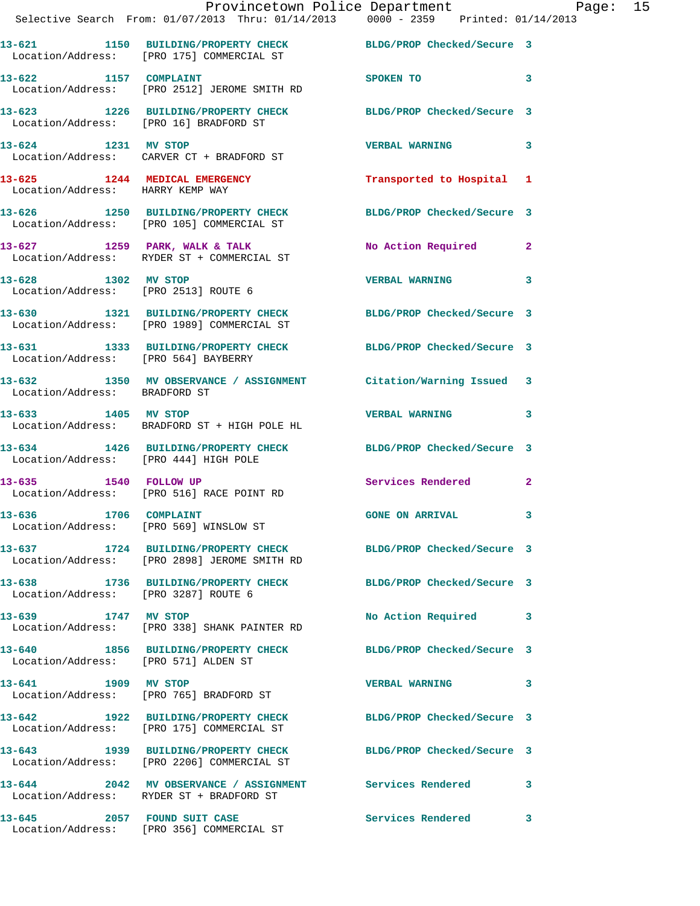|                                  | Provincetown Police Department Page: 15<br>Selective Search From: 01/07/2013 Thru: 01/14/2013 0000 - 2359 Printed: 01/14/2013 |                            |              |  |
|----------------------------------|-------------------------------------------------------------------------------------------------------------------------------|----------------------------|--------------|--|
|                                  | 13-621 1150 BUILDING/PROPERTY CHECK BLDG/PROP Checked/Secure 3<br>Location/Address: [PRO 175] COMMERCIAL ST                   |                            |              |  |
|                                  | 13-622 1157 COMPLAINT<br>Location/Address: [PRO 2512] JEROME SMITH RD                                                         | SPOKEN TO                  | 3            |  |
|                                  | 13-623 1226 BUILDING/PROPERTY CHECK BLDG/PROP Checked/Secure 3<br>Location/Address: [PRO 16] BRADFORD ST                      |                            |              |  |
|                                  | 13-624 1231 MV STOP<br>Location/Address: CARVER CT + BRADFORD ST                                                              | VERBAL WARNING 3           |              |  |
| Location/Address: HARRY KEMP WAY | 13-625 1244 MEDICAL EMERGENCY Transported to Hospital 1                                                                       |                            |              |  |
|                                  | 13-626 1250 BUILDING/PROPERTY CHECK BLDG/PROP Checked/Secure 3<br>Location/Address: [PRO 105] COMMERCIAL ST                   |                            |              |  |
|                                  | 13-627 1259 PARK, WALK & TALK<br>Location/Address: RYDER ST + COMMERCIAL ST                                                   | No Action Required 2       |              |  |
|                                  | 13-628 1302 MV STOP<br>Location/Address: [PRO 2513] ROUTE 6                                                                   | <b>VERBAL WARNING</b>      | 3            |  |
|                                  | 13-630 1321 BUILDING/PROPERTY CHECK BLDG/PROP Checked/Secure 3<br>Location/Address: [PRO 1989] COMMERCIAL ST                  |                            |              |  |
|                                  | 13-631 1333 BUILDING/PROPERTY CHECK BLDG/PROP Checked/Secure 3<br>Location/Address: [PRO 564] BAYBERRY                        |                            |              |  |
| Location/Address: BRADFORD ST    | 13-632 1350 MV OBSERVANCE / ASSIGNMENT Citation/Warning Issued 3                                                              |                            |              |  |
|                                  | 13-633 1405 MV STOP 13-633<br>Location/Address: BRADFORD ST + HIGH POLE HL                                                    |                            | 3            |  |
|                                  | 13-634 1426 BUILDING/PROPERTY CHECK BLDG/PROP Checked/Secure 3<br>Location/Address: [PRO 444] HIGH POLE                       |                            |              |  |
|                                  | 13-635 1540 FOLLOW UP<br>Location/Address: [PRO 516] RACE POINT RD                                                            | Services Rendered 2        |              |  |
|                                  | 13-636 1706 COMPLAINT<br>Location/Address: [PRO 569] WINSLOW ST                                                               | <b>GONE ON ARRIVAL</b>     |              |  |
|                                  | 13-637 1724 BUILDING/PROPERTY CHECK BLDG/PROP Checked/Secure 3<br>Location/Address: [PRO 2898] JEROME SMITH RD                |                            |              |  |
|                                  | 13-638 1736 BUILDING/PROPERTY CHECK<br>Location/Address: [PRO 3287] ROUTE 6                                                   | BLDG/PROP Checked/Secure 3 |              |  |
|                                  | 13-639 1747 MV STOP<br>Location/Address: [PRO 338] SHANK PAINTER RD                                                           | No Action Required         | 3            |  |
|                                  | 13-640 1856 BUILDING/PROPERTY CHECK BLDG/PROP Checked/Secure 3<br>Location/Address: [PRO 571] ALDEN ST                        |                            |              |  |
|                                  | 13-641 1909 MV STOP<br>Location/Address: [PRO 765] BRADFORD ST                                                                | <b>VERBAL WARNING</b>      | 3            |  |
|                                  | 13-642 1922 BUILDING/PROPERTY CHECK BLDG/PROP Checked/Secure 3<br>Location/Address: [PRO 175] COMMERCIAL ST                   |                            |              |  |
|                                  | 13-643 1939 BUILDING/PROPERTY CHECK<br>Location/Address: [PRO 2206] COMMERCIAL ST                                             | BLDG/PROP Checked/Secure 3 |              |  |
|                                  | 13-644 2042 MV OBSERVANCE / ASSIGNMENT Services Rendered<br>Location/Address: RYDER ST + BRADFORD ST                          |                            | 3            |  |
| 13-645                           | 2057 FOUND SUIT CASE                                                                                                          | Services Rendered          | $\mathbf{3}$ |  |

Location/Address: [PRO 356] COMMERCIAL ST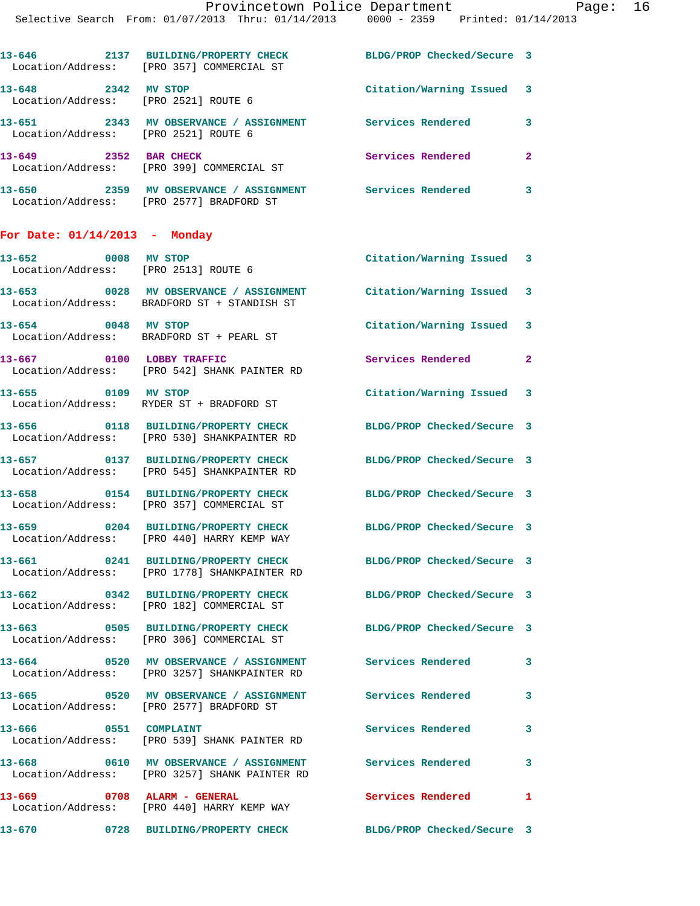| $13 - 646$<br>Location/Address: | 2137 | <b>BUILDING/PROPERTY CHECK</b><br>[PRO 357] COMMERCIAL ST | BLDG/PROP Checked/Secure 3 |   |
|---------------------------------|------|-----------------------------------------------------------|----------------------------|---|
| $13 - 648$<br>Location/Address: | 2342 | MV STOP<br>[PRO 2521] ROUTE 6                             | Citation/Warning Issued    |   |
| 13-651<br>Location/Address:     | 2343 | MV OBSERVANCE / ASSIGNMENT<br>FPRO 25211 ROUTE 6          | Services Rendered          |   |
| $13 - 649$<br>Location/Address: | 2352 | <b>BAR CHECK</b><br>[PRO 399] COMMERCIAL ST               | Services Rendered          | 2 |

**13-650 2359 MV OBSERVANCE / ASSIGNMENT Services Rendered 3**  Location/Address: [PRO 2577] BRADFORD ST

## **For Date: 01/14/2013 - Monday**

| 0008 MV STOP<br>13-652      | Location/Address: [PRO 2513] ROUTE 6                                                   | Citation/Warning Issued 3  |                |
|-----------------------------|----------------------------------------------------------------------------------------|----------------------------|----------------|
|                             | 13-653 0028 MV OBSERVANCE / ASSIGNMENT<br>Location/Address: BRADFORD ST + STANDISH ST  | Citation/Warning Issued 3  |                |
| 0048 MV STOP<br>13-654      | Location/Address: BRADFORD ST + PEARL ST                                               | Citation/Warning Issued 3  |                |
| 13-667                      | 0100 LOBBY TRAFFIC<br>Location/Address: [PRO 542] SHANK PAINTER RD                     | Services Rendered          | $\overline{2}$ |
| 13-655 0109 MV STOP         | Location/Address: RYDER ST + BRADFORD ST                                               | Citation/Warning Issued 3  |                |
|                             | 13-656 0118 BUILDING/PROPERTY CHECK<br>Location/Address: [PRO 530] SHANKPAINTER RD     | BLDG/PROP Checked/Secure 3 |                |
|                             | 13-657 0137 BUILDING/PROPERTY CHECK<br>Location/Address: [PRO 545] SHANKPAINTER RD     | BLDG/PROP Checked/Secure 3 |                |
|                             | 13-658 0154 BUILDING/PROPERTY CHECK<br>Location/Address: [PRO 357] COMMERCIAL ST       | BLDG/PROP Checked/Secure 3 |                |
| 13-659                      | 0204 BUILDING/PROPERTY CHECK<br>Location/Address: [PRO 440] HARRY KEMP WAY             | BLDG/PROP Checked/Secure 3 |                |
| 13-661                      | 0241 BUILDING/PROPERTY CHECK<br>Location/Address: [PRO 1778] SHANKPAINTER RD           | BLDG/PROP Checked/Secure 3 |                |
|                             | 13-662 0342 BUILDING/PROPERTY CHECK<br>Location/Address: [PRO 182] COMMERCIAL ST       | BLDG/PROP Checked/Secure 3 |                |
|                             | 13-663 0505 BUILDING/PROPERTY CHECK<br>Location/Address: [PRO 306] COMMERCIAL ST       | BLDG/PROP Checked/Secure 3 |                |
|                             | 13-664 0520 MV OBSERVANCE / ASSIGNMENT<br>Location/Address: [PRO 3257] SHANKPAINTER RD | <b>Services Rendered</b>   | 3              |
| 13-665                      | 0520 MV OBSERVANCE / ASSIGNMENT<br>Location/Address: [PRO 2577] BRADFORD ST            | Services Rendered          | 3              |
| 0551 COMPLAINT<br>13-666    | Location/Address: [PRO 539] SHANK PAINTER RD                                           | Services Rendered          | $\mathbf{3}$   |
| 13-668                      | 0610 MV OBSERVANCE / ASSIGNMENT<br>Location/Address: [PRO 3257] SHANK PAINTER RD       | <b>Services Rendered</b>   | $\mathbf{3}$   |
| 13-669 0708 ALARM - GENERAL | Location/Address: [PRO 440] HARRY KEMP WAY                                             | Services Rendered          | $\mathbf{1}$   |
| 13-670                      | 0728 BUILDING/PROPERTY CHECK                                                           | BLDG/PROP Checked/Secure 3 |                |